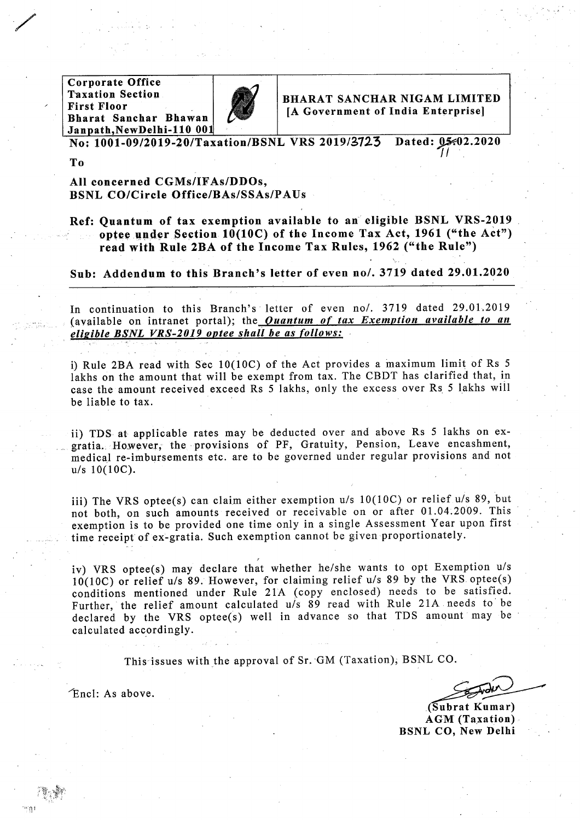**Corporate Office Taxation Section First Floor** Bharat Sanchar Bhawan Janpath, New Delhi-110 001



BHARAT SANCHAR NIGAM LIMITED [A Government of India Enterprise]

No: 1001-09/2019-20/Taxation/BSNL VRS 2019/3723 Dated: 05.02.2020

To

All concerned CGMs/IFAs/DDOs, **BSNL CO/Circle Office/BAs/SSAs/PAUs** 

Ref: Ouantum of tax exemption available to an eligible BSNL VRS-2019 optee under Section 10(10C) of the Income Tax Act, 1961 ("the Act") read with Rule 2BA of the Income Tax Rules, 1962 ("the Rule")

Sub: Addendum to this Branch's letter of even no/. 3719 dated 29.01.2020

In continuation to this Branch's letter of even no/. 3719 dated 29.01.2019 (available on intranet portal); the *Quantum of tax Exemption available to an* eligible BSNL VRS-2019 optee shall be as follows:

i) Rule 2BA read with Sec 10(10C) of the Act provides a maximum limit of Rs 5 lakhs on the amount that will be exempt from tax. The CBDT has clarified that, in case the amount received exceed Rs 5 lakhs, only the excess over Rs 5 lakhs will be liable to tax.

ii) TDS at applicable rates may be deducted over and above Rs 5 lakhs on exgratia. However, the provisions of PF, Gratuity, Pension, Leave encashment, medical re-imbursements etc. are to be governed under regular provisions and not  $u/s$  10(10C).

iii) The VRS optee(s) can claim either exemption u/s 10(10C) or relief u/s 89, but not both, on such amounts received or receivable on or after 01.04.2009. This exemption is to be provided one time only in a single Assessment Year upon first time receipt of ex-gratia. Such exemption cannot be given proportionately.

iv) VRS optee(s) may declare that whether he/she wants to opt Exemption u/s 10(10C) or relief u/s 89. However, for claiming relief u/s 89 by the VRS optee(s) conditions mentioned under Rule 21A (copy enclosed) needs to be satisfied. Further, the relief amount calculated u/s 89 read with Rule 21A needs to be declared by the VRS optee(s) well in advance so that TDS amount may be calculated accordingly.

This issues with the approval of Sr. GM (Taxation), BSNL CO.

(Subrat Kumar) **AGM** (Taxation) **BSNL CO. New Delhi** 

Encl: As above.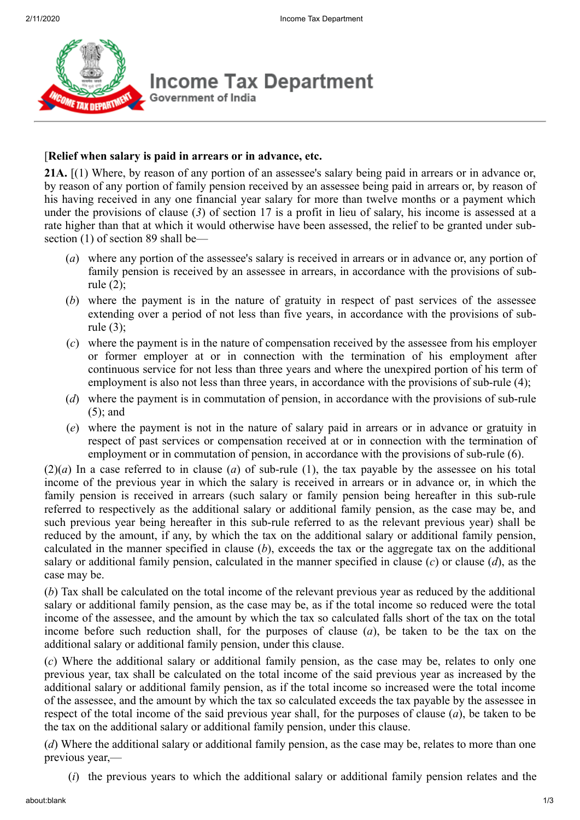

## [**Relief when salary is paid in arrears or in advance, etc.**

**21A.** [(1) Where, by reason of any portion of an assessee's salary being paid in arrears or in advance or, by reason of any portion of family pension received by an assessee being paid in arrears or, by reason of his having received in any one financial year salary for more than twelve months or a payment which under the provisions of clause (*3*) of section 17 is a profit in lieu of salary, his income is assessed at a rate higher than that at which it would otherwise have been assessed, the relief to be granted under subsection (1) of section 89 shall be—

- (*a*) where any portion of the assessee's salary is received in arrears or in advance or, any portion of family pension is received by an assessee in arrears, in accordance with the provisions of subrule (2);
- (*b*) where the payment is in the nature of gratuity in respect of past services of the assessee extending over a period of not less than five years, in accordance with the provisions of subrule (3);
- (*c*) where the payment is in the nature of compensation received by the assessee from his employer or former employer at or in connection with the termination of his employment after continuous service for not less than three years and where the unexpired portion of his term of employment is also not less than three years, in accordance with the provisions of sub-rule (4);
- (*d*) where the payment is in commutation of pension, in accordance with the provisions of sub-rule (5); and
- (*e*) where the payment is not in the nature of salary paid in arrears or in advance or gratuity in respect of past services or compensation received at or in connection with the termination of employment or in commutation of pension, in accordance with the provisions of sub-rule (6).

 $(2)(a)$  In a case referred to in clause (*a*) of sub-rule (1), the tax payable by the assessee on his total income of the previous year in which the salary is received in arrears or in advance or, in which the family pension is received in arrears (such salary or family pension being hereafter in this sub-rule referred to respectively as the additional salary or additional family pension, as the case may be, and such previous year being hereafter in this sub-rule referred to as the relevant previous year) shall be reduced by the amount, if any, by which the tax on the additional salary or additional family pension, calculated in the manner specified in clause (*b*), exceeds the tax or the aggregate tax on the additional salary or additional family pension, calculated in the manner specified in clause (*c*) or clause (*d*), as the case may be.

(*b*) Tax shall be calculated on the total income of the relevant previous year as reduced by the additional salary or additional family pension, as the case may be, as if the total income so reduced were the total income of the assessee, and the amount by which the tax so calculated falls short of the tax on the total income before such reduction shall, for the purposes of clause (*a*), be taken to be the tax on the additional salary or additional family pension, under this clause.

(*c*) Where the additional salary or additional family pension, as the case may be, relates to only one previous year, tax shall be calculated on the total income of the said previous year as increased by the additional salary or additional family pension, as if the total income so increased were the total income of the assessee, and the amount by which the tax so calculated exceeds the tax payable by the assessee in respect of the total income of the said previous year shall, for the purposes of clause (*a*), be taken to be the tax on the additional salary or additional family pension, under this clause.

(*d*) Where the additional salary or additional family pension, as the case may be, relates to more than one previous year,—

(*i*) the previous years to which the additional salary or additional family pension relates and the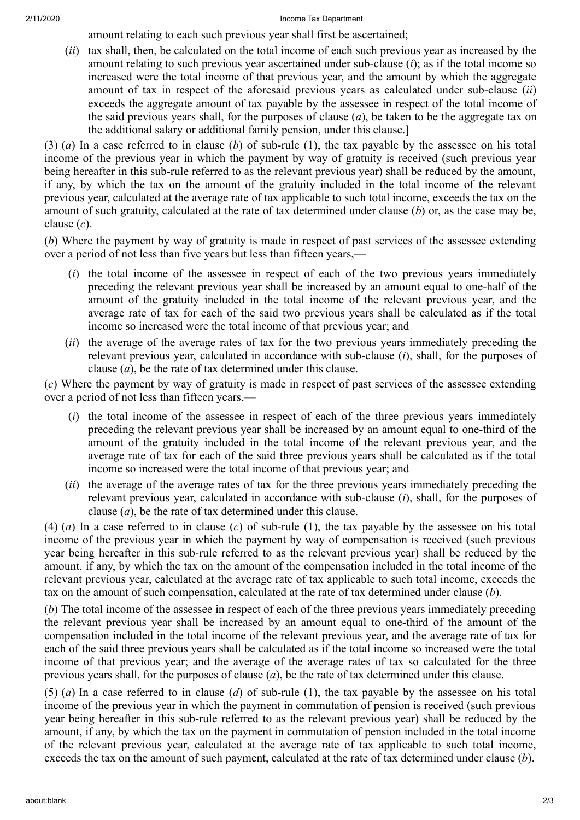## 2/11/2020 Income Tax Department

amount relating to each such previous year shall first be ascertained;

(*ii*) tax shall, then, be calculated on the total income of each such previous year as increased by the amount relating to such previous year ascertained under sub-clause (*i*); as if the total income so increased were the total income of that previous year, and the amount by which the aggregate amount of tax in respect of the aforesaid previous years as calculated under sub-clause (*ii*) exceeds the aggregate amount of tax payable by the assessee in respect of the total income of the said previous years shall, for the purposes of clause (*a*), be taken to be the aggregate tax on the additional salary or additional family pension, under this clause.]

(3) (*a*) In a case referred to in clause (*b*) of sub-rule (1), the tax payable by the assessee on his total income of the previous year in which the payment by way of gratuity is received (such previous year being hereafter in this sub-rule referred to as the relevant previous year) shall be reduced by the amount, if any, by which the tax on the amount of the gratuity included in the total income of the relevant previous year, calculated at the average rate of tax applicable to such total income, exceeds the tax on the amount of such gratuity, calculated at the rate of tax determined under clause (*b*) or, as the case may be, clause (*c*).

(*b*) Where the payment by way of gratuity is made in respect of past services of the assessee extending over a period of not less than five years but less than fifteen years,—

- (*i*) the total income of the assessee in respect of each of the two previous years immediately preceding the relevant previous year shall be increased by an amount equal to one-half of the amount of the gratuity included in the total income of the relevant previous year, and the average rate of tax for each of the said two previous years shall be calculated as if the total income so increased were the total income of that previous year; and
- (*ii*) the average of the average rates of tax for the two previous years immediately preceding the relevant previous year, calculated in accordance with sub-clause (*i*), shall, for the purposes of clause (*a*), be the rate of tax determined under this clause.

(*c*) Where the payment by way of gratuity is made in respect of past services of the assessee extending over a period of not less than fifteen years,—

- (*i*) the total income of the assessee in respect of each of the three previous years immediately preceding the relevant previous year shall be increased by an amount equal to one-third of the amount of the gratuity included in the total income of the relevant previous year, and the average rate of tax for each of the said three previous years shall be calculated as if the total income so increased were the total income of that previous year; and
- (*ii*) the average of the average rates of tax for the three previous years immediately preceding the relevant previous year, calculated in accordance with sub-clause (*i*), shall, for the purposes of clause (*a*), be the rate of tax determined under this clause.

(4) (*a*) In a case referred to in clause (*c*) of sub-rule (1), the tax payable by the assessee on his total income of the previous year in which the payment by way of compensation is received (such previous year being hereafter in this sub-rule referred to as the relevant previous year) shall be reduced by the amount, if any, by which the tax on the amount of the compensation included in the total income of the relevant previous year, calculated at the average rate of tax applicable to such total income, exceeds the tax on the amount of such compensation, calculated at the rate of tax determined under clause (*b*).

(*b*) The total income of the assessee in respect of each of the three previous years immediately preceding the relevant previous year shall be increased by an amount equal to one-third of the amount of the compensation included in the total income of the relevant previous year, and the average rate of tax for each of the said three previous years shall be calculated as if the total income so increased were the total income of that previous year; and the average of the average rates of tax so calculated for the three previous years shall, for the purposes of clause  $(a)$ , be the rate of tax determined under this clause.

(5) (*a*) In a case referred to in clause (*d*) of sub-rule (1), the tax payable by the assessee on his total income of the previous year in which the payment in commutation of pension is received (such previous year being hereafter in this sub-rule referred to as the relevant previous year) shall be reduced by the amount, if any, by which the tax on the payment in commutation of pension included in the total income of the relevant previous year, calculated at the average rate of tax applicable to such total income, exceeds the tax on the amount of such payment, calculated at the rate of tax determined under clause (*b*).